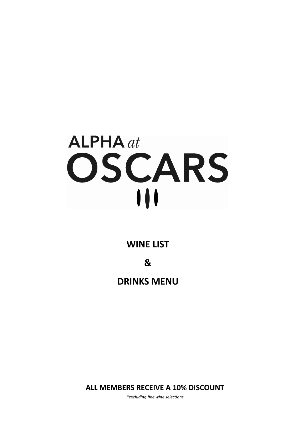# $ALPHA$   $at$ OSCARS  $\mathbf{III}$

# **WINE LIST**

**&**

**DRINKS MENU**

**ALL MEMBERS RECEIVE A 10% DISCOUNT** 

*\*excluding fine wine selections*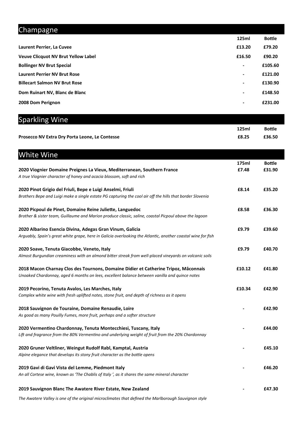| Champagne                                  |                |               |
|--------------------------------------------|----------------|---------------|
|                                            | 125ml          | <b>Bottle</b> |
| Laurent Perrier, La Cuvee                  | £13.20         | £79.20        |
| <b>Veuve Clicquot NV Brut Yellow Label</b> | £16.50         | £90.20        |
| <b>Bollinger NV Brut Special</b>           | $\blacksquare$ | £105.60       |
| <b>Laurent Perrier NV Brut Rose</b>        | ۰.             | £121.00       |
| <b>Billecart Salmon NV Brut Rose</b>       | $\blacksquare$ | £130.90       |
| Dom Ruinart NV, Blanc de Blanc             | ۰.             | £148.50       |
| 2008 Dom Perignon                          | $\blacksquare$ | £231.00       |
|                                            |                |               |

| <b>Sparkling Wine</b>                                                                                                                                                                |        |               |
|--------------------------------------------------------------------------------------------------------------------------------------------------------------------------------------|--------|---------------|
|                                                                                                                                                                                      | 125ml  | <b>Bottle</b> |
| Prosecco NV Extra Dry Porta Leone, Le Contesse                                                                                                                                       | £8.25  | £36.50        |
| <b>White Wine</b>                                                                                                                                                                    |        |               |
|                                                                                                                                                                                      | 175ml  | <b>Bottle</b> |
| 2020 Viognier Domaine Preignes La Vieux, Mediterranean, Southern France<br>A true Viognier character of honey and acacia blossom, soft and rich                                      | £7.48  | £31.90        |
| 2020 Pinot Grigio del Friuli, Bepe e Luigi Anselmi, Friuli                                                                                                                           | £8.14  | £35.20        |
| Brothers Bepe and Luigi make a single estate PG capturing the cool air off the hills that border Slovenia                                                                            |        |               |
| 2020 Picpoul de Pinet, Domaine Reine Juliette, Languedoc<br>Brother & sister team, Guillaume and Marion produce classic, saline, coastal Picpoul above the lagoon                    | £8.58  | £36.30        |
|                                                                                                                                                                                      |        |               |
| 2020 Albarino Esencia Divina, Adegas Gran Vinum, Galicia<br>Arguably, Spain's great white grape, here in Galicia overlooking the Atlantic, another coastal wine for fish             | £9.79  | £39.60        |
| 2020 Soave, Tenuta Giacobbe, Veneto, Italy                                                                                                                                           | £9.79  | £40.70        |
| Almost Burgundian creaminess with an almond bitter streak from well-placed vineyards on volcanic soils                                                                               |        |               |
| 2018 Macon Charnay Clos des Tournons, Domaine Didier et Catherine Tripoz, Mâconnais<br>Unoaked Chardonnay, aged 6 months on lees, excellent balance between vanilla and quince notes | £10.12 | £41.80        |
| 2019 Pecorino, Tenuta Avalos, Les Marches, Italy                                                                                                                                     | £10.34 | £42.90        |
| Complex white wine with fresh uplifted notes, stone fruit, and depth of richness as it opens                                                                                         |        |               |
| 2018 Sauvignon de Touraine, Domaine Renaudie, Loire                                                                                                                                  |        | £42.90        |
| As good as many Pouilly Fumes, more fruit, perhaps and a softer structure                                                                                                            |        |               |
| 2020 Vermentino Chardonnay, Tenuta Montecchiesi, Tuscany, Italy                                                                                                                      |        | £44.00        |
| Lift and fragrance from the 80% Vermentino and underlying weight of fruit from the 20% Chardonnay                                                                                    |        |               |
| 2020 Gruner Veltliner, Weingut Rudolf Rabl, Kamptal, Austria                                                                                                                         |        | £45.10        |
| Alpine elegance that develops its stony fruit character as the bottle opens                                                                                                          |        |               |
| 2019 Gavi di Gavi Vista del Lemme, Piedmont Italy                                                                                                                                    |        | £46.20        |
| An all Cortese wine, known as 'The Chablis of Italy', as it shares the same mineral character                                                                                        |        |               |

**2019 Sauvignon Blanc The Awatere River Estate, New Zealand - £47.30**

*The Awatere Valley is one of the original microclimates that defined the Marlborough Sauvignon style*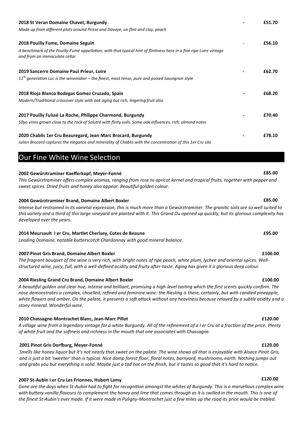| 2018 St Veran Domaine Chavet, Burgundy                                                                                                               | £51.70 |
|------------------------------------------------------------------------------------------------------------------------------------------------------|--------|
| Made up from different plots around Prisse and Davaye, on flint and clay, peach                                                                      |        |
| 2018 Pouilly Fume, Domaine Seguin                                                                                                                    | £56.10 |
| A benchmark of the Pouilly-Fumé appellation, with that typical hint of flintiness here in a fine ripe Loire vintage<br>and from an immaculate cellar |        |
| 2019 Sancerre Domaine Paul Prieur, Loire                                                                                                             | £62.70 |
| $11th$ generation Luc is the winemaker – the finest, most tense, pure and poised Sauvignon style                                                     |        |
| 2018 Rioja Blanco Bodegas Gomez Cruzado, Spain                                                                                                       | £68.20 |
| Modern/Traditional crossover style with oak aging but rich, lingering fruit also                                                                     |        |
| 2017 Pouilly Fuissé La Roche, Philippe Charmond, Burgundy                                                                                            | £70.40 |
| 50yo vines grown close to the rock of Solutré with flinty soils. Some oak influences, rich, almond notes                                             |        |
| 2020 Chablis 1er Cru Beauregard, Jean Marc Brocard, Burgundy                                                                                         | £78.10 |
| Julien Brocard captures the elegance and minerality of Chablis with the concentration of this 1er Cru site                                           |        |

Our Fine White Wine Selection

### **2002 Gewürztraminer Kaefferkopf, Meyer-Fonné £85.00**

*This Gewürztraminer offers complex aromas, ranging from rose to apricot kernel and tropical fruits, together with pepper and sweet spices. Dried fruits and honey also appear. Beautiful golden colour.*

### **2004 Gewürztraminer Brand, Domaine Albert Boxler £85.00**

*Intense but restrained in its varietal expression, this is much more than a Gewürztraminer. The granitic soils are so well suited to this variety and a third of this large vineyard are planted with it. This Grand Du opened up quickly, but its glorious complexity has developed over the years.*

### **2014 Meursault I er Cru, Martlet Cherisey, Cotes de Beaune £95.00**

*Leading Domaine, notable butterscotch Chardonnay with good mineral balance.*

### **2007 Pinot Gris Brand, Domaine Albert Boxler £100.00**

*The fragrant bouquet of the wine is very rich, with bright notes of ripe peach, white plum, lychee and oriental spices. Wellstructured wine, juicy, full, with a well-defined acidity and fruity after-taste. Aging has given it a glorious deep colour.*

### **2004 Riesling Grand Cru Brand, Domaine Albert Boxler £100.00**

*A beautiful golden and clear hue, intense and brilliant, promising a high-level tasting which the first scents quickly confirm. The nose demonstrates a complex, chiselled, refined and feminine wine: the Riesling is there, certainly, but with candied pineapple, white flowers and amber. On the palate, it presents a soft attack without any heaviness because relayed by a subtle acidity and a stony mineral. Wonderful wine.*

### **2010 Chassagne-Montrachet Blanc, Jean-Marc Pillot £120.00**

*A village wine from a legendary vintage for a white Burgundy. All of the refinement of a I er Cru at a fraction of the price. Plenty of white fruit and the softness and richness in the mouth that one associates with Chassagne.*

### **2001 Pinot Gris Dorfburg, Meyer-Fonné £120.00**

*Smells like honey liquor but it's not nearly that sweet on the palate. The wine shows all that is enjoyable with Alsace Pinot Gris, and is just a bit 'sweeter' than is typical. Nice damp forest floor, floral notes, barnyard, mushrooms, earth. Nothing jumps out and grabs you but everything is solid. Maybe just a tad hot on the finish, but it tastes so good that it's hard to notice.*

### **2007 St-Aubin I er Cru Les Frionnes, Hubert Lamy £120.00**

*Gone are the days when St-Aubin had to fight for recognition amongst the whites of Burgundy. This is a marvellous complex wine with buttery vanilla flavours to complement the honey and lime that comes through as it is swilled in the mouth. This is one of the finest St-Aubin's ever made. If it were made in Puligny-Montrachet just a few miles up the road its price would be trebled.*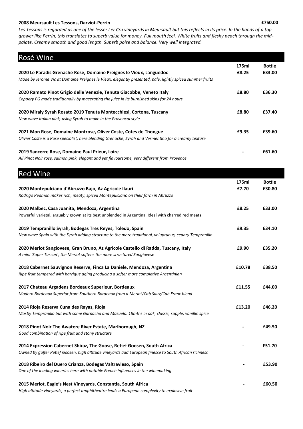### **2008 Meursault Les Tessons, Darviot-Perrin £750.00**

*Les Tessons is regarded as one of the lesser I er Cru vineyards in Meursault but this reflects in its price. In the hands of a top grower like Perrin, this translates to superb value for money. Full mouth feel. White fruits and fleshy peach through the midpalate. Creamy smooth and good length. Superb poise and balance. Very well integrated.*

| Rosé Wine                                                                                                | 175ml  | <b>Bottle</b> |
|----------------------------------------------------------------------------------------------------------|--------|---------------|
| 2020 Le Paradis Grenache Rose, Domaine Preignes le Vieux, Languedoc                                      | £8.25  | £33.00        |
| Made by Jerome Vic at Domaine Preignes le Vieux, elegantly presented, pale, lightly spiced summer fruits |        |               |
| 2020 Ramato Pinot Grigio delle Venezie, Tenuta Giacobbe, Veneto Italy                                    | £8.80  | £36.30        |
| Coppery PG made traditionally by macerating the juice in its burnished skins for 24 hours                |        |               |
| 2020 Miraly Syrah Rosato 2019 Tenuta Montecchiesi, Cortona, Tuscany                                      | £8.80  | £37.40        |
| New wave Italian pink, using Syrah to make in the Provencal style                                        |        |               |
| 2021 Mon Rose, Domaine Montrose, Oliver Coste, Cotes de Thongue                                          | £9.35  | £39.60        |
| Olivier Coste is a Rose specialist, here blending Grenache, Syrah and Vermentino for a creamy texture    |        |               |
| 2019 Sancerre Rose, Domaine Paul Prieur, Loire                                                           |        | £61.60        |
| All Pinot Noir rose, salmon pink, elegant and yet flavoursome, very different from Provence              |        |               |
| <b>Red Wine</b>                                                                                          |        |               |
|                                                                                                          | 175ml  | <b>Bottle</b> |
| 2020 Montepulciano d'Abruzzo Bajo, Az Agricole Ilauri                                                    | £7.70  | £30.80        |
| Rodrigo Redman makes rich, meaty, spiced Montepulciano on their farm in Abruzzo                          |        |               |
| 2020 Malbec, Casa Juanita, Mendoza, Argentina                                                            | £8.25  | £33.00        |
| Powerful varietal, arguably grown at its best unblended in Argentina. Ideal with charred red meats       |        |               |
| 2019 Tempranillo Syrah, Bodegas Tres Reyes, Toledo, Spain                                                | £9.35  | £34.10        |
| New wave Spain with the Syrah adding structure to the more traditional, voluptuous, cedary Tempranillo   |        |               |
| 2020 Merlot Sangiovese, Gran Bruno, Az Agricole Castello di Radda, Tuscany, Italy                        | £9.90  | £35.20        |
| A mini 'Super Tuscan', the Merlot softens the more structured Sangiovese                                 |        |               |
| 2018 Cabernet Sauvignon Reserve, Finca La Daniele, Mendoza, Argentina                                    | £10.78 | £38.50        |
| Ripe fruit tempered with barrique aging producing a softer more completive Argentinian                   |        |               |
| 2017 Chateau Argadens Bordeaux Superieur, Bordeaux                                                       | £11.55 | £44.00        |
| Modern Bordeaux Superior from Southern Bordeaux from a Merlot/Cab Sauv/Cab Franc blend                   |        |               |
| 2014 Rioja Reserva Cuna des Rayas, Rioja                                                                 | £13.20 | £46.20        |
| Mostly Tempranillo but with some Garnacha and Mazuelo. 18mths in oak, classic, supple, vanillin spice    |        |               |
| 2018 Pinot Noir The Awatere River Estate, Marlborough, NZ                                                |        | £49.50        |
| Good combination of ripe fruit and stony structure                                                       |        |               |
| 2014 Expression Cabernet Shiraz, The Goose, Retief Goosen, South Africa                                  |        | £51.70        |
| Owned by golfer Retief Goosen, high altitude vineyards add European finesse to South African richness    |        |               |
| 2018 Ribeiro del Duero Crianza, Bodegas Valtravieso, Spain                                               |        | £53.90        |
| One of the leading wineries here with notable French influences in the winemaking                        |        |               |
| 2015 Merlot, Eagle's Nest Vineyards, Constantia, South Africa                                            |        | £60.50        |
| High altitude vineyards, a perfect amphitheatre lends a European complexity to explosive fruit           |        |               |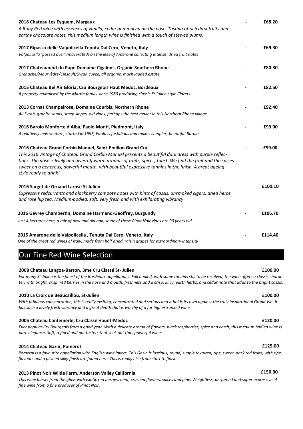| 2018 Chateau Les Eyquem, Margaux<br>A Ruby Red wine with essences of vanilla, cedar and mocha on the nose. Tasting of rich dark fruits and<br>earthy chocolate notes, this medium length wine is finished with a touch of stewed plums.                                                                                                                                                                              | £68.20  |
|----------------------------------------------------------------------------------------------------------------------------------------------------------------------------------------------------------------------------------------------------------------------------------------------------------------------------------------------------------------------------------------------------------------------|---------|
| 2017 Ripasso delle Valpolicella Tenuta Dal Cero, Veneto, Italy<br>Valpolicella 'passed over' (macerated) on the lees of Amarone collecting intense, dried fruit notes                                                                                                                                                                                                                                                | £69.30  |
|                                                                                                                                                                                                                                                                                                                                                                                                                      |         |
| 2017 Chateauneuf du Pape Domaine Cigalons, Organic Southern Rhone                                                                                                                                                                                                                                                                                                                                                    | £80.30  |
| Grenache/Mourvèdre/Cinsault/Syrah cuvee, all organic, much lauded estate                                                                                                                                                                                                                                                                                                                                             |         |
| 2015 Chateau Bel Air Gloria, Cru Bourgeois Haut Medoc, Bordeaux                                                                                                                                                                                                                                                                                                                                                      | £82.50  |
| A property revitalised by the Martin family since 1980 producing classic St Julien style Clarets                                                                                                                                                                                                                                                                                                                     |         |
| 2013 Cornas Champelrose, Domaine Courbis, Northern Rhone                                                                                                                                                                                                                                                                                                                                                             | £92.40  |
| All Syrah, granite sands, steep slopes, old vines, perhaps the best maker in this Northern Rhone village                                                                                                                                                                                                                                                                                                             |         |
| 2016 Barolo Monforte d'Alba, Paolo Monti, Piedmont, Italy<br>A relatively new venture, started in 1996, Paolo is fastidious and makes complex, beautiful Barolo                                                                                                                                                                                                                                                      | £99.00  |
| 2016 Chateau Grand Corbin Manuel, Saint-Emilion Grand Cru<br>This 2016 vintage of Chateau Grand Corbin Manuel presents a beautiful dark dress with purple reflec-<br>tions. The nose is lively and gives off warm aromas of fruits, spices, toast. We find the fruit and the spices<br>sweet on a generous, powerful mouth, with beautiful expressive tannins in the finish. A great ageing<br>style ready to drink! | £99.00  |
| 2016 Sarget de Gruaud Larose St Julien                                                                                                                                                                                                                                                                                                                                                                               | £100.10 |
| Expressive redcurrants and blackberry compote notes with hints of cassis, unsmoked cigars, dried herbs<br>and rose hip tea. Medium-bodied, soft, very fresh and with exhilarating vibrancy                                                                                                                                                                                                                           |         |
| 2016 Gevrey Chambertin, Domaine Harmand-Geoffrey, Burgundy                                                                                                                                                                                                                                                                                                                                                           | £106.70 |
| Just 4 hectares here, a mix of new and old oak, some of these Pinot Noir vines are 90 years old                                                                                                                                                                                                                                                                                                                      |         |
| 2015 Amarone delle Valpolicella, Tenuta Dal Cero, Veneto, Italy                                                                                                                                                                                                                                                                                                                                                      | £114.40 |
| One of the great red wines of Italy, made from half dried, raisin grapes for extraordinary intensity                                                                                                                                                                                                                                                                                                                 |         |

# Our Fine Red Wine Selection

### **2008 Chateau Langoa-Barton, 3me Cru Classé St- Julien £100.00**

*For many St-Julien is the finest of the Bordeaux appellations. Full bodied, with some tannins still to be resolved, the wine offers a classic character, with bright, crisp, red berries in the nose and mouth, freshness and a crisp, juicy, earth herbs, and cedar note that adds to the bright cassis.*

### **2010 La Croix de Beaucaillou, St-Julien £100.00**

*With fabulous concentration, this is really exciting, concentrated and serious and it holds its own against the truly inspirational Grand Vin. It has such a lovely fresh vibrancy and a great depth that is worthy of a far higher-ranked wine.*

### **2005 Chateau Cantemerle, Cru Classé Haunt-Médoc £120.00**

*Ever popular Cry Bourgeois from a good year. With a delicate aroma of flowers, black raspberries, spice and earth, this medium bodied wine is pure elegance. Soft, refined and not tasters that seek out ripe, powerful wines.*

### **2014 Chateau Gazin, Pomerol £125.00**

Pomerol is a favourite appellation with English wine lovers. This Gazin is luscious, round, supple textured, ripe, sweet, dark red fruits, with ripe *flavours and a plished silky finish are found here. This is really nice from start to finish.*

### **2013 Pinot Noir Wilde Farm, Anderson Valley California £150.00**

*This wine bursts from the glass with exotic red berries, mint, crushed flowers, spices and pine. Weightless, perfumed and super expressive. A fine wine from a fine producer of Pinot Noir.*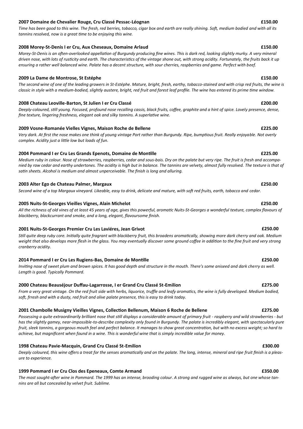### **2007 Domaine de Chevalier Rouge, Cru Classé Pessac-Léognan £150.00**

*Time has been good to this wine. The fresh, red berries, tobacco, cigar box and earth are really shining. Soft, medium bodied and with all its tannins resolved, now is a great time to be enjoying this wine.*

### **2008 Morey-St-Denis I er Cru, Aux Cheseaux, Domaine Arlaud £150.00**

*Morey-St-Denis is an often-overlooked appellation of Burgundy producing fine wines. This is dark red, looking slightly murky. A very mineral driven nose, with lots of rusticity and earth. The characteristics of the vintage shone out, with strong acidity. Fortunately, the fruits back it up ensuring a rather well balanced wine. Palate has a decent structure, with sour cherries, raspberries and game. Perfect with beef.*

*The second wine of one of the leading growers in St-Estéphe. Mature, bright, fresh, earthy, tobacco-stained and with crisp red fruits, the wine is* 

### **2009 La Dame de Montrose, St Estéphe £150.00**

# *classic in style with a medium-bodied, slightly austere, bright, red fruit and forest leaf profile. The wine has entered its prime time window.*

### **2008 Chateau Leoville-Barton, St Julien I er Cru Classé £200.00**

*Deeply-coloured, still young. Focused, profound nose recalling cassis, black fruits, coffee, graphite and a hint of spice. Lovely presence, dense, fine texture, lingering freshness, elegant oak and silky tannins. A superlative wine.*

### **2009 Vosne-Romanée Vielles Vignes, Maison Roche de Bellene £225.00**

*Very dark. At first the nose makes one think of young vintage Port rather than Burgundy. Ripe, bumptious fruit. Really enjoyable. Not overly complex. Acidity just a little low but loads of fun.*

### **2004 Pommard I er Cru Les Grands Epenots, Domaine de Montille £225.00**

*Medium ruby in colour. Nose of strawberries, raspberries, cedar and sous-bois. Dry on the palate but very ripe. The fruit is fresh and accompanied by raw cedar and earthy undertones. The acidity is high but in balance. The tannins are velvety, almost fully resolved. The texture is that of satin sheets. Alcohol is medium and almost unperceivable. The finish is long and alluring.* 

### **2003 Alter Ego de Chateau Palmer, Margaux £250.00**

*Second wine of a top Margaux vineyard. Likeable, easy to drink, delicate and mature, with soft red fruits, earth, tobacco and cedar.*

### **2005 Nuits-St-Georges Vieilles Vignes, Alain Michelot £250.00**

*All the richness of old vines of at least 45 years of age, gives this powerful, aromatic Nuits-St-Georges a wonderful texture, complex flavours of blackberry, blackcurrant and smoke, and a long, elegant, flavoursome finish.* 

### **2001 Nuits-St-Georges Premier Cru Les Laviéres, Jean Grivot £250.00**

*Still quite deep ruby core. Initially quite fragrant with blackberry fruit, this broadens aromatically, showing more dark cherry and oak. Medium weight that also develops more flesh in the glass. You may eventually discover some ground coffee in addition to the fine fruit and very strong cranberry acidity.*

### **2014 Pommard I er Cru Les Rugiens-Bas, Domaine de Montille £250.00**

*Inviting nose of sweet plum and brown spices. It has good depth and structure in the mouth. There's some aniseed and dark cherry as well. Length is good. Typically Pommard.*

### **2000 Chateau Beauséjour Duffau-Lagarrosse, I er Grand Cru Classé St-Emilion £275.00**

*From a very great vintage. On the red fruit side with herbs, liquorice, truffle and leafy aromatics, the wine is fully developed. Medium bodied, soft, frresh and with a dusty, red fruit and olive palate presence, this is easy to drink today.*

### **2001 Chambolle Musigny Vieilles Vignes, Collection Bellenum, Maison 6 Roche de Bellene £275.00**

*Possessing a quite extraordinarily brilliant nose that still displays a considerable amount of primary fruit - raspberry and wild strawberries - but has the slightly gamey, near-impossible-to-describe complexity only found in Burgundy. The palate is incredibly elegant, with spectacularly pure fruit, sleek tannins, a gorgeous mouth feel and perfect balance. It manages to show great concentration, but with no excess weight; so hard to achieve, but magnificent when found in a wine. This is wonderful wine that is simply incredible value for money.*

### **1998 Chateau Pavie-Macquin, Grand Cru Classé St-Emilion £300.00**

*Deeply coloured, this wine offers a treat for the senses aromatically and on the palate. The long, intense, mineral and ripe fruit finish is a pleasure to experience.* 

### **1999 Pommard I er Cru Clos des Epeneaux, Comte Armand £350.00**

*The most sought-after wine in Pommard. The 1999 has an intense, brooding colour. A strong and rugged wine as always, but one whose tannins are all but concealed by velvet fruit. Sublime.*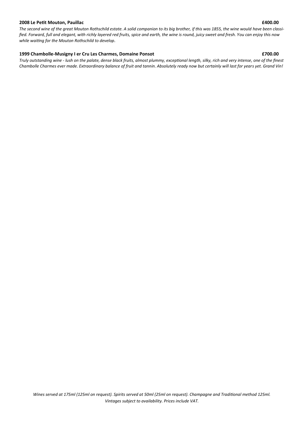### **2008 Le Petit Mouton, Pauillac £400.00**

*The second wine of the great Mouton Rothschild estate. A solid companion to its big brother, if this was 1855, the wine would have been classified. Forward, full and elegant, with richly layered red fruits, spice and earth, the wine is round, juicy sweet and fresh. You can enjoy this now while waiting for the Mouton Rothschild to develop.*

### **1999 Chambolle-Musigny I er Cru Les Charmes, Domaine Ponsot £700.00**

*Truly outstanding wine - lush on the palate, dense black fruits, almost plummy, exceptional length, silky, rich and very intense, one of the finest Chambolle Charmes ever made. Extraordinary balance of fruit and tannin. Absolutely ready now but certainly will last for years yet. Grand Vin!*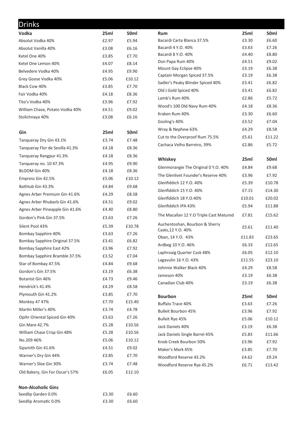| <b>Drinks</b>                   |       |                  |                                         |        |                  |
|---------------------------------|-------|------------------|-----------------------------------------|--------|------------------|
| Vodka                           | 25ml  | 50 <sub>ml</sub> | <b>Rum</b>                              | 25ml   | 50 <sub>ml</sub> |
| Absolut Vodka 40%               | £2.97 | £5.94            | Bacardi Carta Blanca 37.5%              | £3.30  | £6.60            |
| Absolut Vanilla 40%             | £3.08 | £6.16            | Bacardi 4 Y.O. 40%                      | £3.63  | £7.26            |
| Ketel One 40%                   | £3.85 | £7.70            | Bacardi 8 Y.O. 40%                      | £4.40  | £8.80            |
| Ketel One Lemon 40%             | £4.07 | £8.14            | Don Papa Rum 40%                        | £4.51  | £9.02            |
| Belvedere Vodka 40%             | £4.95 | £9.90            | Mount Gay Eclipse 40%                   | £3.19  | £6.38            |
| Grey Goose Vodka 40%            | £5.06 | £10.12           | Captain Morgan Spiced 37.5%             | £3.19  | £6.38            |
| Black Cow 40%                   | £3.85 | £7.70            | Sadler's Peaky Blinder Spiced 40%       | £3.41  | £6.82            |
| Fair Vodka 40%                  | £4.18 | £8.36            | Old J Gold Spiced 40%                   | £3.41  | £6.82            |
| Tito's Vodka 40%                | £3.96 | £7.92            | Lamb's Rum 40%                          | £2.86  | £5.72            |
| William Chase, Potato Vodka 40% | £4.51 | £9.02            | Wood's 100 Old Navy Rum 40%             | £4.18  | £8.36            |
| Stolichnaya 40%                 | £3.08 | £6.16            | Kraken Rum 40%                          | £3.30  | £6.60            |
|                                 |       |                  | Gosling's 40%                           | £3.52  | £7.04            |
| Gin                             | 25ml  | 50 <sub>ml</sub> | Wray & Nephew 63%                       | £4.29  | £8.58            |
| Tanqueray Dry Gin 43.1%         | £3.74 | £7.48            | Cut to the Overproof Rum 75.5%          | £5.61  | £11.22           |
| Tangueray Flor de Sevilla 41.3% | £4.18 | £8.36            | Cachaca Velho Barreiro, 39%             | £2.86  | £5.72            |
| Tanqueray Rangpur 41.3%         | £4.18 | £8.36            |                                         |        |                  |
| Tanqueray no. 10 47.3%          | £4.95 | £9.90            | Whiskey                                 | 25ml   | 50ml             |
| BLOOM Gin 40%                   | £4.18 | £8.36            | Glenmorangie The Original 0 Y.O. 40%    | £4.84  | £9.68            |
| Empress Gin 42.5%               | £5.06 | £10.12           | The Glenlivet Founder's Reserve 40%     | £3.96  | £7.92            |
| Bathtub Gin 43.3%               | £4.84 | £9.68            | Glenfiddich 12 Y.O. 40%                 | £5.39  | £10.78           |
| Agnes Arber Premium Gin 41.6%   | £4.29 | £8.58            | Glenfiddich 15 Y.O. 40%                 | £7.15  | £14.30           |
| Agnes Arber Rhubarb Gin 41.6%   | £4.51 | £9.02            | Glenfiddich 18 Y.O.40%                  | £10.01 | £20.02           |
| Agnes Arber Pineapple Gin 41.6% | £4.40 | £8.80            | Glenfiddich IPA 43%                     | £5.94  | £11.88           |
| Gordon's Pink Gin 37.5%         | £3.63 | £7.26            | The Macallan 12 Y.O Triple Cast Matured | £7.81  | £15.62           |
| Silent Pool 43%                 | £5.39 | £10.78           | Auchentoshan, Bourbon & Sherry          | £5.61  | £11.40           |
| Bombay Sapphire 40%             | £3.63 | £7.26            | Casks, 12 Y.O. 40%                      |        | £23.65           |
| Bombay Sapphire Original 37.5%  | £3.41 | £6.82            | Oban, 14 Y.O. 43%                       | £11.83 |                  |
| Bombay Sapphire East 42%        | £3.96 | £7.92            | Ardbeg 10 Y.O. 46%                      | £6.33  | £12.65           |
| Bombay Sapphire Bramble 37.5%   | £3.52 | £7.04            | Laphroaig Quarter Cask 48%              | £6.05  | £12.10           |
| Star of Bombay 47.5%            | £4.84 | £9.68            | Lagavulin 16 Y.O. 43%                   | £11.55 | £23.10           |
| Gordon's Gin 37.5%              | £3.19 | £6.38            | Johnnie Walker Black 40%                | £4.29  | £8.58            |
| Botanist Gin 46%                | £4.73 | £9.46            | Jameson 40%                             | £3.19  | £6.38            |
| Hendrick's 41.4%                | £4.29 | £8.58            | Canadian Club 40%                       | £3.19  | £6.38            |
| Plymouth Gin 41.2%              | £3.85 | £7.70            | <b>Bourbon</b>                          | 25ml   | 50ml             |
| Monkey 47 47%                   | £7.70 | £15.40           | Buffalo Trace 40%                       | £3.63  | £7.26            |
| Martin Miller's 40%             | £3.74 | £4.78            | <b>Bulleit Bourbon 45%</b>              | £3.96  | £7.92            |
| Opihr Oriental Spiced Gin 40%   | £3.63 | £7.26            | Bulleit Rye 45%                         | £5.06  | £10.12           |
| Gin Mare 42.7%                  | £5.28 | £10.56           | Jack Daniels 40%                        | £3.19  | £6.38            |
| William Chase Crisp Gin 48%     | £5.28 | £10.56           | Jack Daniels Single Barrel 45%          | £5.83  | £11.66           |
| No.209 46%                      | £5.06 | £10.12           | Knob Creek Bourbon 50%                  | £3.96  | £7.92            |
| Sipsmith Gin 41.6%              | £4.51 | £9.02            | Maker's Mark 45%                        | £3.85  | £7.70            |
| Warner's Dry Gin 44%            | £3.85 | £7.70            | Woodford Reserve 43.2%                  | £4.62  | £9.24            |
| Warner's Sloe Gin 30%           | £3.74 | £7.48            | Woodford Reserve Rye 45.2%              | £6.71  | £13.42           |
| Old Bakery, Gin For Oscar's 57% | £6.05 | £12.10           |                                         |        |                  |
|                                 |       |                  |                                         |        |                  |
| <b>Non-Alcoholic Gins</b>       |       |                  |                                         |        |                  |
| Seedlip Garden 0.0%             | £3.30 | £6.60            |                                         |        |                  |

Seedlip Aromatic 0.0% <br>
£3.30 £6.60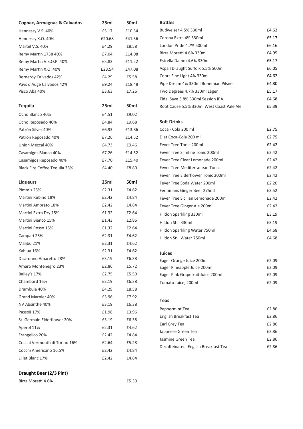| Cognac, Armagnac & Calvados   | 25ml   | 50ml   |
|-------------------------------|--------|--------|
| Hennessy V.S. 40%             | £5.17  | £10.34 |
| Hennessy X.O. 40%             | £20.68 | £41.36 |
| Martel V.S. 40%               | £4.29  | £8.58  |
| Remy Martin 1738 40%          | £7.04  | £14.08 |
| Remy Martin V.S.O.P. 40%      | £5.83  | £11.22 |
| Remy Martin X.O. 40%          | £23.54 | £47.08 |
| Berneroy Calvados 42%         | £4.29  | £5.58  |
| Pays d'Auge Calvados 42%      | £9.24  | £18.48 |
| Pisco Aba 40%                 | £3.63  | £7.26  |
| <b>Tequila</b>                | 25ml   | 50ml   |
| Ocho Blanco 40%               | £4.51  | £9.02  |
| Ocho Reposado 40%             | £4.84  | £9.68  |
| Patrón Silver 40%             | £6.93  | £13.86 |
| Patrón Reposado 40%           | £7.26  | £14.52 |
| Union Mezcal 40%              | £4.73  | £9.46  |
| Casamigos Blanco 40%          | £7.26  | £14.52 |
| Casamigos Reposado 40%        | £7.70  | £15.40 |
| Black Fire Coffee Tequila 33% | £4.40  | £8.80  |
|                               |        |        |
| <b>Liqueurs</b>               | 25ml   | 50ml   |
| Pimm's 25%                    | £2.31  | £4.62  |
| Martini Rubino 18%            | £2.42  | £4.84  |
| Martini Ambrato 18%           | £2.42  | £4.84  |
| Martini Extra Dry 15%         | £1.32  | £2.64  |
| Martini Bianco 15%            | £1.43  | £2.86  |
| Martini Rosso 15%             | £1.32  | £2.64  |
| Campari 25%                   | £2.31  | £4.62  |
| Malibu 21%                    | £2.31  | £4.62  |
| Kahlúa 16%                    | £2.31  | £4.62  |
| Disaronno Amaretto 28%        | £3.19  | £6.38  |
| Amaro Montenegro 23%          | £2.86  | £5.72  |
| Bailey's 17%                  | £2.75  | £5.50  |
| Chambord 16%                  | £3.19  | £6.38  |
| Drambuie 40%                  | £4.29  | £8.58  |
| Grand Marnier 40%             | £3.96  | £7.92  |
| NV Absinthe 40%               | £3.19  | £6.38  |
| Passoã 17%                    | £1.98  | £3.96  |
| St. Germain Elderflower 20%   | £3.19  | £6.38  |
| Aperol 11%                    | £2.31  | £4.62  |
| Frangelico 20%                | £2.42  | £4.84  |
| Cocchi Vermouth di Torino 16% | £2.64  | £5.28  |
| Cocchi Americano 16.5%        | £2.42  | £4.84  |
| Lillet Blanc 17%              | £2.42  | £4.84  |

### **Bottles**

| Budweiser 4.5% 330ml                      | £4.62 |
|-------------------------------------------|-------|
| Corona Extra 4% 330ml                     | £5.17 |
| London Pride 4.7% 500ml                   | £6.16 |
| Birra Moretti 4.6% 330ml                  | £4.95 |
| Estrella Damm 4.6% 330ml                  | £5.17 |
| Aspall Draught Suffolk 5.5% 500ml         | £6.05 |
| Coors Fine Light 4% 330ml                 | £4.62 |
| Pipe Dream 4% 330ml Bohemian Pilsner      | £4.80 |
| Two Degrees 4.7% 330ml Lager              | £5.17 |
| Tidal Save 3.8% 330ml Session IPA         | £4.68 |
| Root Cause 5.5% 330ml West Coast Pale Ale | £5.39 |
| <b>Soft Drinks</b>                        |       |
| Coca - Cola 200 ml                        | £2.75 |
| Diet Coca-Cola 200 ml                     | £2.75 |
| Fever Tree Tonic 200ml                    | £2.42 |
| Fever Tree Slimline Tonic 200ml           | £2.42 |
| Fever Tree Clear Lemonade 200ml           | £2.42 |
| Fever Tree Mediterranean Tonic            | £2.42 |
| Fever Tree Elderflower Tonic 200ml        | £2.42 |
| Fever Tree Soda Water 200ml               | £2.20 |
| Fentimans Ginger Beer 275ml               | £3.52 |
| Fever Tree Sicilian Lemonade 200ml        | £2.42 |
| Fever Tree Ginger Ale 200ml               | £2.42 |
| Hildon Sparkling 330ml                    | £3.19 |
| Hildon Still 330ml                        | £3.19 |
| Hildon Sparkling Water 750ml              | £4.68 |
| Hildon Still Water 750ml                  | £4.68 |
| Juices                                    |       |
| Eager Orange Juice 200ml                  | £2.09 |
| Eager Pineapple Juice 200ml               | £2.09 |
| Eager Pink Grapefruit Juice 200ml         | £2.09 |
| Tomato Juice, 200ml                       | £2.09 |
| <b>Teas</b>                               |       |
| Peppermint Tea                            | £2.86 |
| English Breakfast Tea                     | £2.86 |
| Earl Grey Tea                             | £2.86 |
|                                           |       |

Japanese Green Tea **E2.86** Jasmine Green Tea **E2.86** Decaffeinated English Breakfast Tea **ELEMING** E2.86